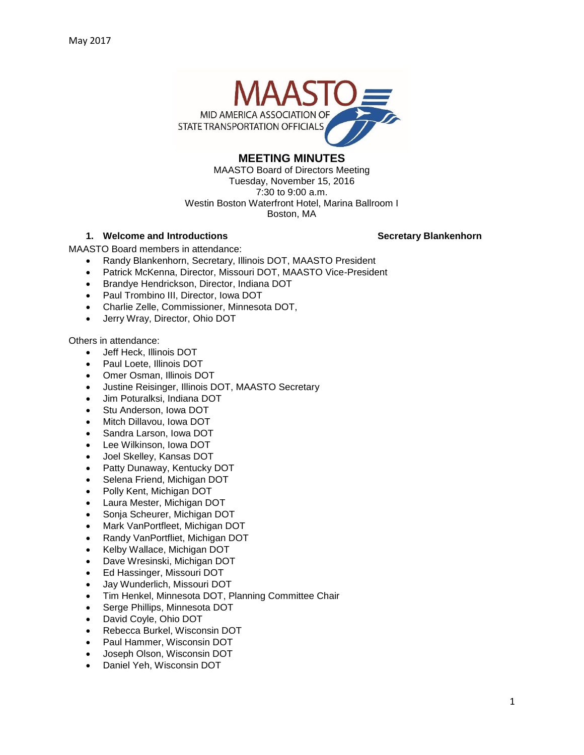

# **MEETING MINUTES**

MAASTO Board of Directors Meeting Tuesday, November 15, 2016 7:30 to 9:00 a.m. Westin Boston Waterfront Hotel, Marina Ballroom I Boston, MA

# **1. Welcome and Introductions Secretary Blankenhorn**

MAASTO Board members in attendance:

- Randy Blankenhorn, Secretary, Illinois DOT, MAASTO President
- Patrick McKenna, Director, Missouri DOT, MAASTO Vice-President
- Brandye Hendrickson, Director, Indiana DOT
- Paul Trombino III, Director, Iowa DOT
- Charlie Zelle, Commissioner, Minnesota DOT,
- Jerry Wray, Director, Ohio DOT

Others in attendance:

- Jeff Heck, Illinois DOT
- Paul Loete, Illinois DOT
- Omer Osman, Illinois DOT
- Justine Reisinger, Illinois DOT, MAASTO Secretary
- Jim Poturalksi, Indiana DOT
- Stu Anderson, Iowa DOT
- Mitch Dillavou, Iowa DOT
- Sandra Larson, Iowa DOT
- Lee Wilkinson, Iowa DOT
- Joel Skelley, Kansas DOT
- Patty Dunaway, Kentucky DOT
- Selena Friend, Michigan DOT
- Polly Kent, Michigan DOT
- Laura Mester, Michigan DOT
- Sonja Scheurer, Michigan DOT
- Mark VanPortfleet, Michigan DOT
- Randy VanPortfliet, Michigan DOT
- Kelby Wallace, Michigan DOT
- Dave Wresinski, Michigan DOT
- Ed Hassinger, Missouri DOT
- Jay Wunderlich, Missouri DOT
- Tim Henkel, Minnesota DOT, Planning Committee Chair
- Serge Phillips, Minnesota DOT
- David Coyle, Ohio DOT
- Rebecca Burkel, Wisconsin DOT
- Paul Hammer, Wisconsin DOT
- Joseph Olson, Wisconsin DOT
- Daniel Yeh, Wisconsin DOT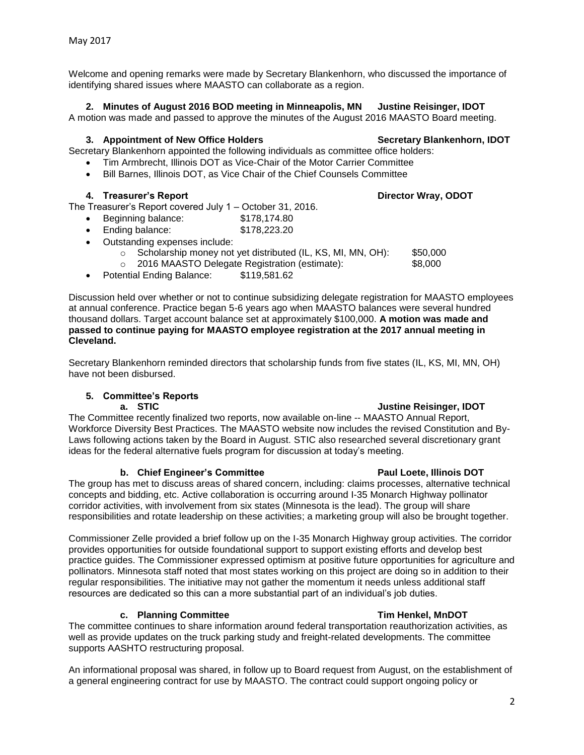Welcome and opening remarks were made by Secretary Blankenhorn, who discussed the importance of identifying shared issues where MAASTO can collaborate as a region.

# **2. Minutes of August 2016 BOD meeting in Minneapolis, MN Justine Reisinger, IDOT**

A motion was made and passed to approve the minutes of the August 2016 MAASTO Board meeting.

## **3. Appointment of New Office Holders Secretary Blankenhorn, IDOT**

Secretary Blankenhorn appointed the following individuals as committee office holders:

- Tim Armbrecht, Illinois DOT as Vice-Chair of the Motor Carrier Committee
- Bill Barnes, Illinois DOT, as Vice Chair of the Chief Counsels Committee

# **4. Treasurer's Report Director Wray, ODOT**

# The Treasurer's Report covered July 1 – October 31, 2016.

- Beginning balance: \$178,174.80
- Ending balance: \$178,223.20
- Outstanding expenses include:
	- o Scholarship money not yet distributed (IL, KS, MI, MN, OH): \$50,000
	- o 2016 MAASTO Delegate Registration (estimate): \$8,000
- Potential Ending Balance: \$119,581.62

Discussion held over whether or not to continue subsidizing delegate registration for MAASTO employees at annual conference. Practice began 5-6 years ago when MAASTO balances were several hundred thousand dollars. Target account balance set at approximately \$100,000. **A motion was made and passed to continue paying for MAASTO employee registration at the 2017 annual meeting in Cleveland.** 

Secretary Blankenhorn reminded directors that scholarship funds from five states (IL, KS, MI, MN, OH) have not been disbursed.

# **5. Committee's Reports**

## **a.** STIC **a. STIC** *state of the state of the state of the state of the state of the state of the state of the state of the state of the state of the state of the state of the state of the state of the state of the sta*

The Committee recently finalized two reports, now available on-line -- MAASTO Annual Report, Workforce Diversity Best Practices. The MAASTO website now includes the revised Constitution and By-Laws following actions taken by the Board in August. STIC also researched several discretionary grant ideas for the federal alternative fuels program for discussion at today's meeting.

## **b.** Chief Engineer's Committee **Paul Loete, Illinois DOT**

### The group has met to discuss areas of shared concern, including: claims processes, alternative technical concepts and bidding, etc. Active collaboration is occurring around I-35 Monarch Highway pollinator corridor activities, with involvement from six states (Minnesota is the lead). The group will share responsibilities and rotate leadership on these activities; a marketing group will also be brought together.

Commissioner Zelle provided a brief follow up on the I-35 Monarch Highway group activities. The corridor provides opportunities for outside foundational support to support existing efforts and develop best practice guides. The Commissioner expressed optimism at positive future opportunities for agriculture and pollinators. Minnesota staff noted that most states working on this project are doing so in addition to their regular responsibilities. The initiative may not gather the momentum it needs unless additional staff resources are dedicated so this can a more substantial part of an individual's job duties.

## **c. Planning Committee Tim Henkel, MnDOT**

The committee continues to share information around federal transportation reauthorization activities, as well as provide updates on the truck parking study and freight-related developments. The committee supports AASHTO restructuring proposal.

An informational proposal was shared, in follow up to Board request from August, on the establishment of a general engineering contract for use by MAASTO. The contract could support ongoing policy or

2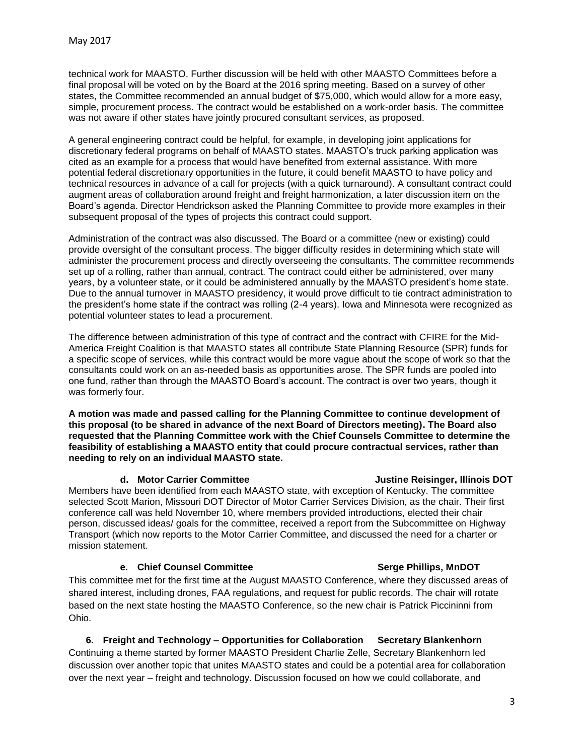technical work for MAASTO. Further discussion will be held with other MAASTO Committees before a final proposal will be voted on by the Board at the 2016 spring meeting. Based on a survey of other states, the Committee recommended an annual budget of \$75,000, which would allow for a more easy, simple, procurement process. The contract would be established on a work-order basis. The committee was not aware if other states have jointly procured consultant services, as proposed.

A general engineering contract could be helpful, for example, in developing joint applications for discretionary federal programs on behalf of MAASTO states. MAASTO's truck parking application was cited as an example for a process that would have benefited from external assistance. With more potential federal discretionary opportunities in the future, it could benefit MAASTO to have policy and technical resources in advance of a call for projects (with a quick turnaround). A consultant contract could augment areas of collaboration around freight and freight harmonization, a later discussion item on the Board's agenda. Director Hendrickson asked the Planning Committee to provide more examples in their subsequent proposal of the types of projects this contract could support.

Administration of the contract was also discussed. The Board or a committee (new or existing) could provide oversight of the consultant process. The bigger difficulty resides in determining which state will administer the procurement process and directly overseeing the consultants. The committee recommends set up of a rolling, rather than annual, contract. The contract could either be administered, over many years, by a volunteer state, or it could be administered annually by the MAASTO president's home state. Due to the annual turnover in MAASTO presidency, it would prove difficult to tie contract administration to the president's home state if the contract was rolling (2-4 years). Iowa and Minnesota were recognized as potential volunteer states to lead a procurement.

The difference between administration of this type of contract and the contract with CFIRE for the Mid-America Freight Coalition is that MAASTO states all contribute State Planning Resource (SPR) funds for a specific scope of services, while this contract would be more vague about the scope of work so that the consultants could work on an as-needed basis as opportunities arose. The SPR funds are pooled into one fund, rather than through the MAASTO Board's account. The contract is over two years, though it was formerly four.

**A motion was made and passed calling for the Planning Committee to continue development of this proposal (to be shared in advance of the next Board of Directors meeting). The Board also requested that the Planning Committee work with the Chief Counsels Committee to determine the feasibility of establishing a MAASTO entity that could procure contractual services, rather than needing to rely on an individual MAASTO state.** 

Members have been identified from each MAASTO state, with exception of Kentucky. The committee selected Scott Marion, Missouri DOT Director of Motor Carrier Services Division, as the chair. Their first conference call was held November 10, where members provided introductions, elected their chair person, discussed ideas/ goals for the committee, received a report from the Subcommittee on Highway Transport (which now reports to the Motor Carrier Committee, and discussed the need for a charter or mission statement.

## **e. Chief Counsel Committee Serge Phillips, MnDOT**

This committee met for the first time at the August MAASTO Conference, where they discussed areas of shared interest, including drones, FAA regulations, and request for public records. The chair will rotate based on the next state hosting the MAASTO Conference, so the new chair is Patrick Piccininni from Ohio.

**6. Freight and Technology – Opportunities for Collaboration Secretary Blankenhorn** Continuing a theme started by former MAASTO President Charlie Zelle, Secretary Blankenhorn led discussion over another topic that unites MAASTO states and could be a potential area for collaboration over the next year – freight and technology. Discussion focused on how we could collaborate, and

### **d. Motor Carrier Committee Justine Reisinger, Illinois DOT**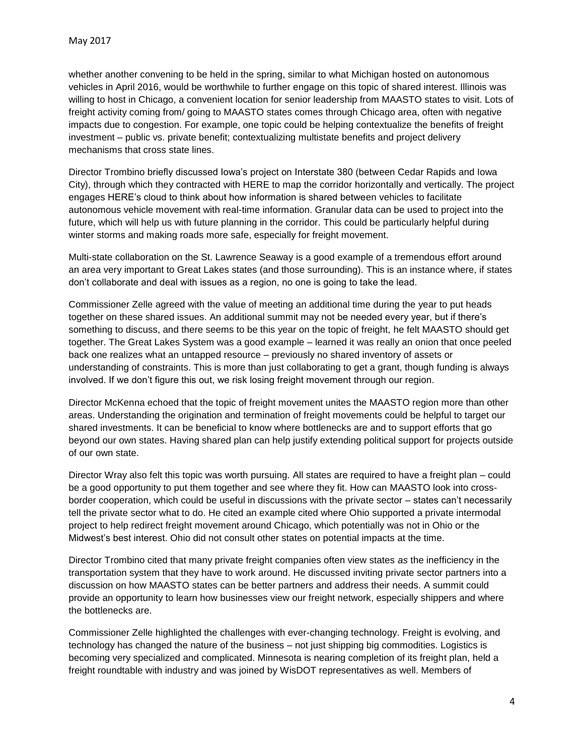whether another convening to be held in the spring, similar to what Michigan hosted on autonomous vehicles in April 2016, would be worthwhile to further engage on this topic of shared interest. Illinois was willing to host in Chicago, a convenient location for senior leadership from MAASTO states to visit. Lots of freight activity coming from/ going to MAASTO states comes through Chicago area, often with negative impacts due to congestion. For example, one topic could be helping contextualize the benefits of freight investment – public vs. private benefit; contextualizing multistate benefits and project delivery mechanisms that cross state lines.

Director Trombino briefly discussed Iowa's project on Interstate 380 (between Cedar Rapids and Iowa City), through which they contracted with HERE to map the corridor horizontally and vertically. The project engages HERE's cloud to think about how information is shared between vehicles to facilitate autonomous vehicle movement with real-time information. Granular data can be used to project into the future, which will help us with future planning in the corridor. This could be particularly helpful during winter storms and making roads more safe, especially for freight movement.

Multi-state collaboration on the St. Lawrence Seaway is a good example of a tremendous effort around an area very important to Great Lakes states (and those surrounding). This is an instance where, if states don't collaborate and deal with issues as a region, no one is going to take the lead.

Commissioner Zelle agreed with the value of meeting an additional time during the year to put heads together on these shared issues. An additional summit may not be needed every year, but if there's something to discuss, and there seems to be this year on the topic of freight, he felt MAASTO should get together. The Great Lakes System was a good example – learned it was really an onion that once peeled back one realizes what an untapped resource – previously no shared inventory of assets or understanding of constraints. This is more than just collaborating to get a grant, though funding is always involved. If we don't figure this out, we risk losing freight movement through our region.

Director McKenna echoed that the topic of freight movement unites the MAASTO region more than other areas. Understanding the origination and termination of freight movements could be helpful to target our shared investments. It can be beneficial to know where bottlenecks are and to support efforts that go beyond our own states. Having shared plan can help justify extending political support for projects outside of our own state.

Director Wray also felt this topic was worth pursuing. All states are required to have a freight plan – could be a good opportunity to put them together and see where they fit. How can MAASTO look into crossborder cooperation, which could be useful in discussions with the private sector – states can't necessarily tell the private sector what to do. He cited an example cited where Ohio supported a private intermodal project to help redirect freight movement around Chicago, which potentially was not in Ohio or the Midwest's best interest. Ohio did not consult other states on potential impacts at the time.

Director Trombino cited that many private freight companies often view states *as* the inefficiency in the transportation system that they have to work around. He discussed inviting private sector partners into a discussion on how MAASTO states can be better partners and address their needs. A summit could provide an opportunity to learn how businesses view our freight network, especially shippers and where the bottlenecks are.

Commissioner Zelle highlighted the challenges with ever-changing technology. Freight is evolving, and technology has changed the nature of the business – not just shipping big commodities. Logistics is becoming very specialized and complicated. Minnesota is nearing completion of its freight plan, held a freight roundtable with industry and was joined by WisDOT representatives as well. Members of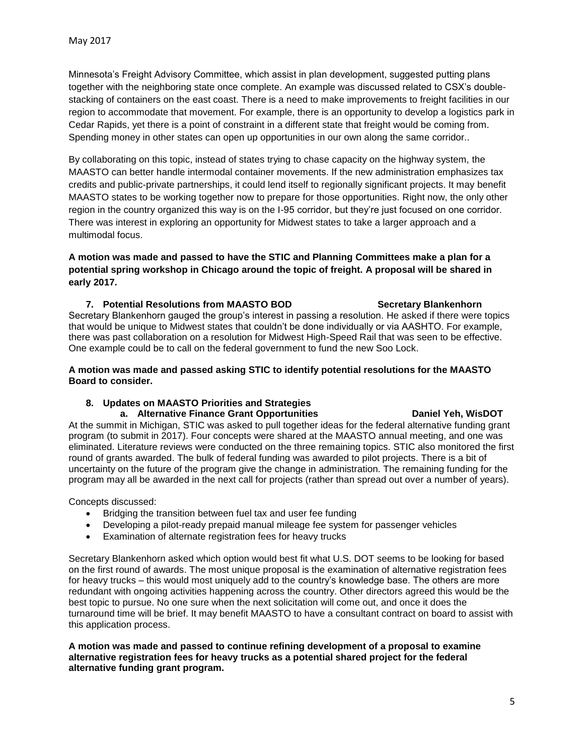Minnesota's Freight Advisory Committee, which assist in plan development, suggested putting plans together with the neighboring state once complete. An example was discussed related to CSX's doublestacking of containers on the east coast. There is a need to make improvements to freight facilities in our region to accommodate that movement. For example, there is an opportunity to develop a logistics park in Cedar Rapids, yet there is a point of constraint in a different state that freight would be coming from. Spending money in other states can open up opportunities in our own along the same corridor..

By collaborating on this topic, instead of states trying to chase capacity on the highway system, the MAASTO can better handle intermodal container movements. If the new administration emphasizes tax credits and public-private partnerships, it could lend itself to regionally significant projects. It may benefit MAASTO states to be working together now to prepare for those opportunities. Right now, the only other region in the country organized this way is on the I-95 corridor, but they're just focused on one corridor. There was interest in exploring an opportunity for Midwest states to take a larger approach and a multimodal focus.

**A motion was made and passed to have the STIC and Planning Committees make a plan for a potential spring workshop in Chicago around the topic of freight. A proposal will be shared in early 2017.** 

### **7. Potential Resolutions from MAASTO BOD Secretary Blankenhorn**

Secretary Blankenhorn gauged the group's interest in passing a resolution. He asked if there were topics that would be unique to Midwest states that couldn't be done individually or via AASHTO. For example, there was past collaboration on a resolution for Midwest High-Speed Rail that was seen to be effective. One example could be to call on the federal government to fund the new Soo Lock.

### **A motion was made and passed asking STIC to identify potential resolutions for the MAASTO Board to consider.**

### **8. Updates on MAASTO Priorities and Strategies**

### **a. Alternative Finance Grant Opportunities Daniel Yeh, WisDOT**

At the summit in Michigan, STIC was asked to pull together ideas for the federal alternative funding grant program (to submit in 2017). Four concepts were shared at the MAASTO annual meeting, and one was eliminated. Literature reviews were conducted on the three remaining topics. STIC also monitored the first round of grants awarded. The bulk of federal funding was awarded to pilot projects. There is a bit of uncertainty on the future of the program give the change in administration. The remaining funding for the program may all be awarded in the next call for projects (rather than spread out over a number of years).

Concepts discussed:

- Bridging the transition between fuel tax and user fee funding
- Developing a pilot-ready prepaid manual mileage fee system for passenger vehicles
- Examination of alternate registration fees for heavy trucks

Secretary Blankenhorn asked which option would best fit what U.S. DOT seems to be looking for based on the first round of awards. The most unique proposal is the examination of alternative registration fees for heavy trucks – this would most uniquely add to the country's knowledge base. The others are more redundant with ongoing activities happening across the country. Other directors agreed this would be the best topic to pursue. No one sure when the next solicitation will come out, and once it does the turnaround time will be brief. It may benefit MAASTO to have a consultant contract on board to assist with this application process.

**A motion was made and passed to continue refining development of a proposal to examine alternative registration fees for heavy trucks as a potential shared project for the federal alternative funding grant program.**